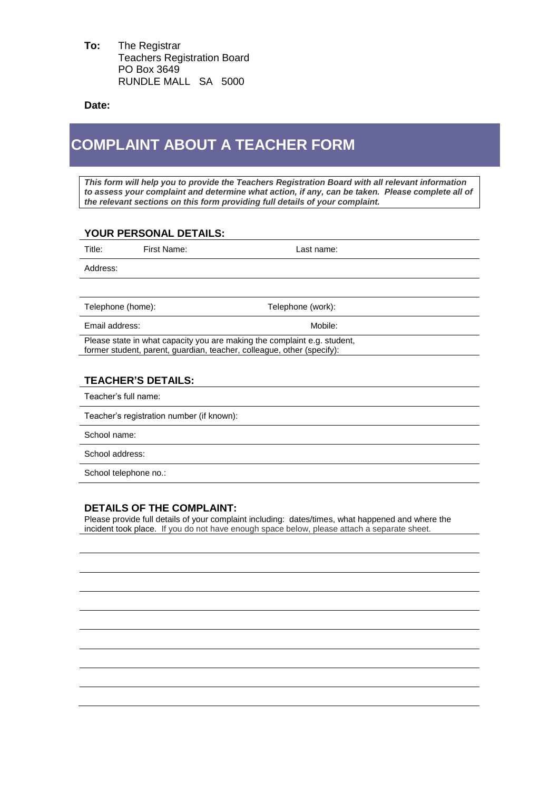**To:** The Registrar Teachers Registration Board PO Box 3649 RUNDLE MALL SA 5000

**Date:**

## **COMPLAINT ABOUT A TEACHER FORM**

*This form will help you to provide the Teachers Registration Board with all relevant information to assess your complaint and determine what action, if any, can be taken. Please complete all of the relevant sections on this form providing full details of your complaint.*

## **YOUR PERSONAL DETAILS:**

| Title:                                                                                                                                             | First Name: | Last name:        |  |
|----------------------------------------------------------------------------------------------------------------------------------------------------|-------------|-------------------|--|
| Address:                                                                                                                                           |             |                   |  |
|                                                                                                                                                    |             |                   |  |
| Telephone (home):                                                                                                                                  |             | Telephone (work): |  |
| Email address:                                                                                                                                     |             | Mobile:           |  |
| Please state in what capacity you are making the complaint e.g. student,<br>former student, parent, guardian, teacher, colleague, other (specify): |             |                   |  |
|                                                                                                                                                    |             |                   |  |
| <b>TEACHER'S DETAILS:</b>                                                                                                                          |             |                   |  |
| Teacher's full name:                                                                                                                               |             |                   |  |
| Teacher's registration number (if known):                                                                                                          |             |                   |  |
| School name:                                                                                                                                       |             |                   |  |
| School address:                                                                                                                                    |             |                   |  |
| School telephone no.:                                                                                                                              |             |                   |  |

## **DETAILS OF THE COMPLAINT:**

Please provide full details of your complaint including: dates/times, what happened and where the incident took place. If you do not have enough space below, please attach a separate sheet.